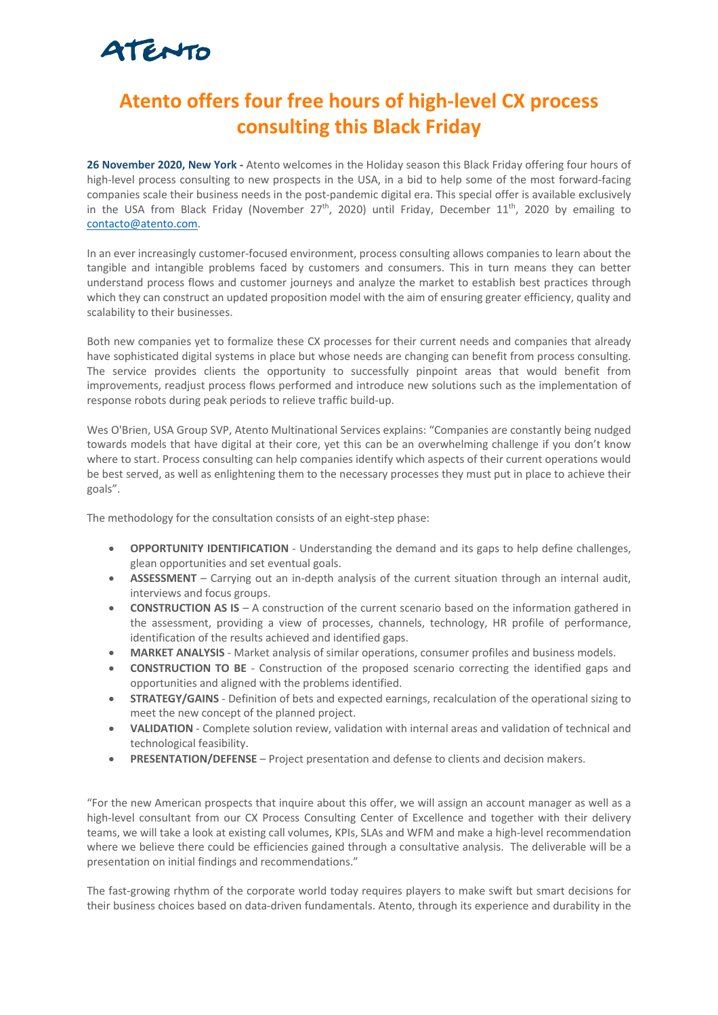# ATENTO

### **Atento offers four free hours of high-level CX process consulting this Black Friday**

**26 November 2020, New York -** Atento welcomes in the Holiday season this Black Friday offering four hours of high-level process consulting to new prospects in the USA, in a bid to help some of the most forward-facing companies scale their business needs in the post-pandemic digital era. This special offer is available exclusively in the USA from Black Friday (November 27<sup>th</sup>, 2020) until Friday, December 11<sup>th</sup>, 2020 by emailing to contacto@atento.com.

In an ever increasingly customer-focused environment, process consulting allows companies to learn about the tangible and intangible problems faced by customers and consumers. This in turn means they can better understand process flows and customer journeys and analyze the market to establish best practices through which they can construct an updated proposition model with the aim of ensuring greater efficiency, quality and scalability to their businesses.

Both new companies yet to formalize these CX processes for their current needs and companies that already have sophisticated digital systems in place but whose needs are changing can benefit from process consulting. The service provides clients the opportunity to successfully pinpoint areas that would benefit from improvements, readjust process flows performed and introduce new solutions such as the implementation of response robots during peak periods to relieve traffic build-up.

Wes O'Brien, USA Group SVP, Atento Multinational Services explains: "Companies are constantly being nudged towards models that have digital at their core, yet this can be an overwhelming challenge if you don't know where to start. Process consulting can help companies identify which aspects of their current operations would be best served, as well as enlightening them to the necessary processes they must put in place to achieve their goals".

The methodology for the consultation consists of an eight-step phase:

- **OPPORTUNITY IDENTIFICATION** Understanding the demand and its gaps to help define challenges, glean opportunities and set eventual goals.
- **ASSESSMENT** Carrying out an in-depth analysis of the current situation through an internal audit, interviews and focus groups.
- **CONSTRUCTION AS IS** A construction of the current scenario based on the information gathered in the assessment, providing a view of processes, channels, technology, HR profile of performance, identification of the results achieved and identified gaps.
- **MARKET ANALYSIS** Market analysis of similar operations, consumer profiles and business models.
- **CONSTRUCTION TO BE** Construction of the proposed scenario correcting the identified gaps and opportunities and aligned with the problems identified.
- **STRATEGY/GAINS** Definition of bets and expected earnings, recalculation of the operational sizing to meet the new concept of the planned project.
- **VALIDATION** Complete solution review, validation with internal areas and validation of technical and technological feasibility.
- **PRESENTATION/DEFENSE** Project presentation and defense to clients and decision makers.

"For the new American prospects that inquire about this offer, we will assign an account manager as well as a high-level consultant from our CX Process Consulting Center of Excellence and together with their delivery teams, we will take a look at existing call volumes, KPIs, SLAs and WFM and make a high-level recommendation where we believe there could be efficiencies gained through a consultative analysis. The deliverable will be a presentation on initial findings and recommendations."

The fast-growing rhythm of the corporate world today requires players to make swift but smart decisions for their business choices based on data-driven fundamentals. Atento, through its experience and durability in the